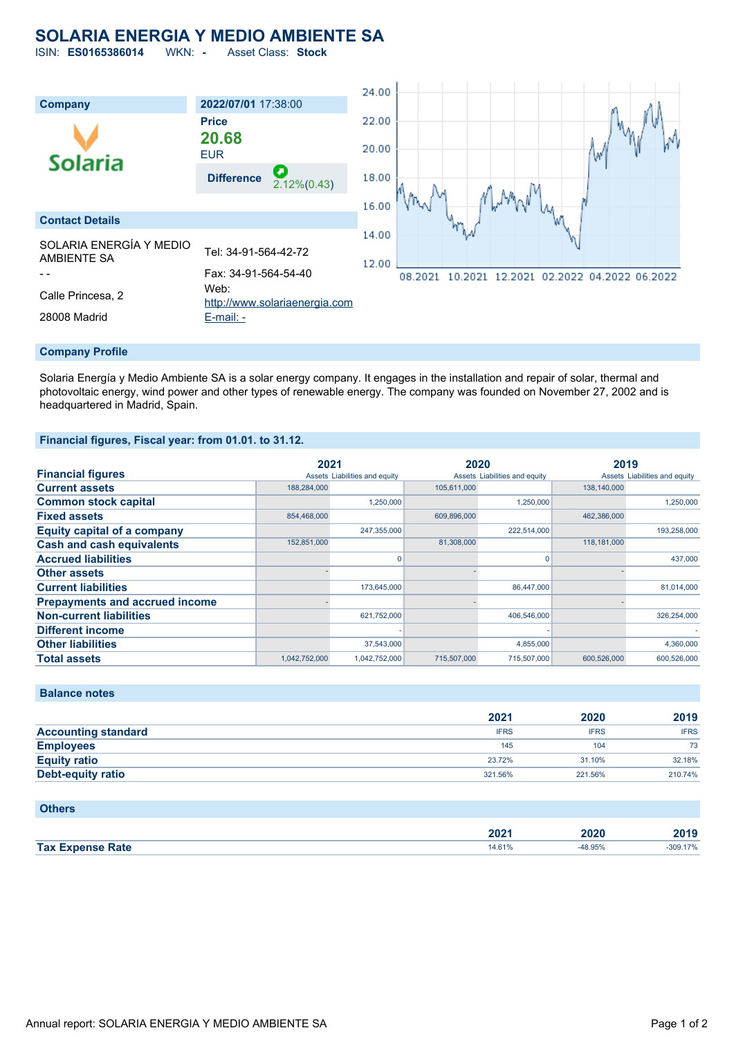## **SOLARIA ENERGIA Y MEDIO AMBIENTE SA**

ISIN: **ES0165386014** WKN: **-** Asset Class: **Stock**



Solaria Energía y Medio Ambiente SA is a solar energy company. It engages in the installation and repair of solar, thermal and photovoltaic energy, wind power and other types of renewable energy. The company was founded on November 27, 2002 and is headquartered in Madrid, Spain.

#### **Financial figures, Fiscal year: from 01.01. to 31.12.**

|                                       | 2021          |                               | 2020        |                               | 2019        |                               |
|---------------------------------------|---------------|-------------------------------|-------------|-------------------------------|-------------|-------------------------------|
| <b>Financial figures</b>              |               | Assets Liabilities and equity |             | Assets Liabilities and equity |             | Assets Liabilities and equity |
| <b>Current assets</b>                 | 188,284,000   |                               | 105,611,000 |                               | 138,140,000 |                               |
| <b>Common stock capital</b>           |               | 1,250,000                     |             | 1,250,000                     |             | 1.250.000                     |
| <b>Fixed assets</b>                   | 854.468.000   |                               | 609.896.000 |                               | 462.386.000 |                               |
| <b>Equity capital of a company</b>    |               | 247,355,000                   |             | 222.514.000                   |             | 193,258,000                   |
| <b>Cash and cash equivalents</b>      | 152,851,000   |                               | 81,308,000  |                               | 118,181,000 |                               |
| <b>Accrued liabilities</b>            |               |                               |             | O                             |             | 437,000                       |
| <b>Other assets</b>                   |               |                               |             |                               |             |                               |
| <b>Current liabilities</b>            |               | 173,645,000                   |             | 86,447,000                    |             | 81,014,000                    |
| <b>Prepayments and accrued income</b> |               |                               |             |                               |             |                               |
| <b>Non-current liabilities</b>        |               | 621,752,000                   |             | 406,546,000                   |             | 326,254,000                   |
| <b>Different income</b>               |               |                               |             |                               |             |                               |
| <b>Other liabilities</b>              |               | 37.543.000                    |             | 4,855,000                     |             | 4,360,000                     |
| <b>Total assets</b>                   | 1,042,752,000 | 1,042,752,000                 | 715,507,000 | 715.507.000                   | 600.526,000 | 600,526,000                   |

## **Balance notes**

|                            | 2021        | 2020        | 2019        |
|----------------------------|-------------|-------------|-------------|
| <b>Accounting standard</b> | <b>IFRS</b> | <b>IFRS</b> | <b>IFRS</b> |
| <b>Employees</b>           | 145         | 104         | 73          |
| <b>Equity ratio</b>        | 23.72%      | 31.10%      | 32.18%      |
| <b>Debt-equity ratio</b>   | 321.56%     | 221.56%     | 210.74%     |

### **Others**

|                    | nnn.<br>$-0 - 1$<br>____ | 2020 | 2019 |
|--------------------|--------------------------|------|------|
| <b>Tax</b><br>Rate | - 70                     | .    |      |